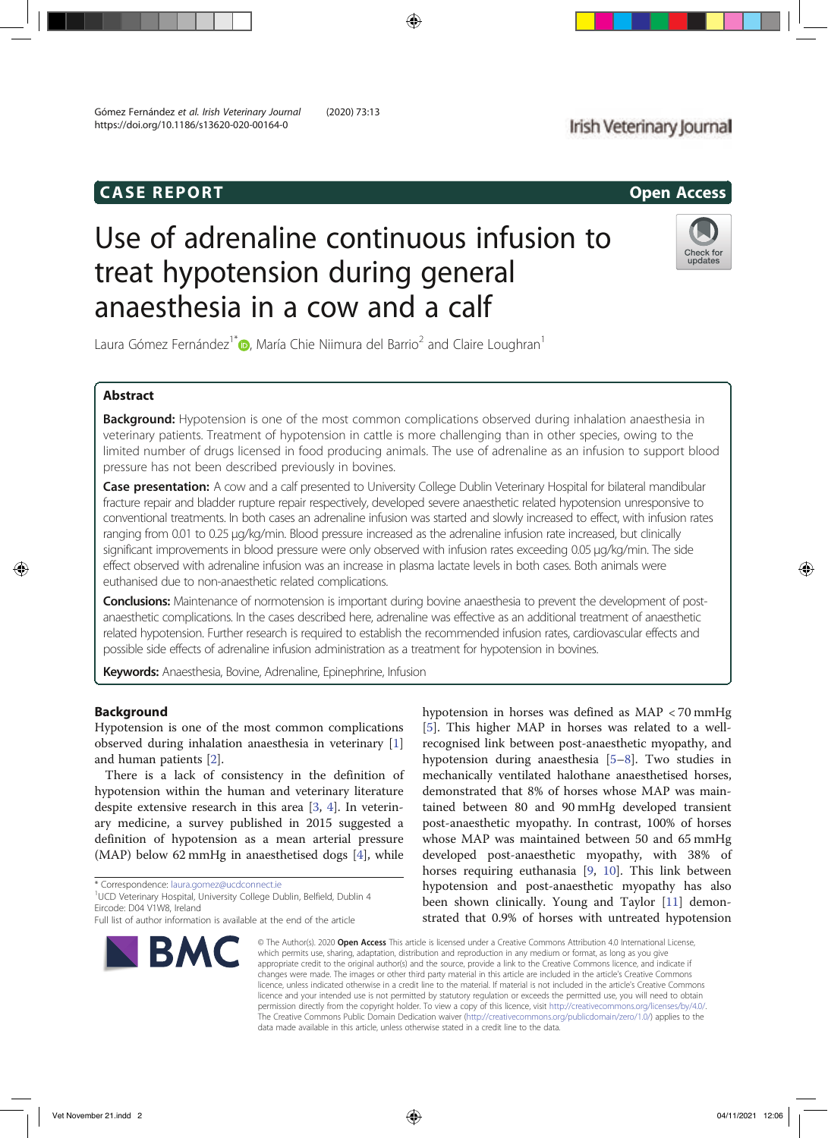## CASE REPORT Open Access

## Irish Veterinary Journal

# Use of adrenaline continuous infusion to treat hypotension during general anaesthesia in a cow and a calf



Laura Gómez Fernández<sup>1\*</sup> , María Chie Niimura del Barrio<sup>2</sup> and Claire Loughran<sup>1</sup>

## Abstract

Background: Hypotension is one of the most common complications observed during inhalation anaesthesia in veterinary patients. Treatment of hypotension in cattle is more challenging than in other species, owing to the limited number of drugs licensed in food producing animals. The use of adrenaline as an infusion to support blood pressure has not been described previously in bovines.

Case presentation: A cow and a calf presented to University College Dublin Veterinary Hospital for bilateral mandibular fracture repair and bladder rupture repair respectively, developed severe anaesthetic related hypotension unresponsive to conventional treatments. In both cases an adrenaline infusion was started and slowly increased to effect, with infusion rates ranging from 0.01 to 0.25 μg/kg/min. Blood pressure increased as the adrenaline infusion rate increased, but clinically significant improvements in blood pressure were only observed with infusion rates exceeding 0.05 μg/kg/min. The side effect observed with adrenaline infusion was an increase in plasma lactate levels in both cases. Both animals were euthanised due to non-anaesthetic related complications.

**Conclusions:** Maintenance of normotension is important during bovine anaesthesia to prevent the development of postanaesthetic complications. In the cases described here, adrenaline was effective as an additional treatment of anaesthetic related hypotension. Further research is required to establish the recommended infusion rates, cardiovascular effects and possible side effects of adrenaline infusion administration as a treatment for hypotension in bovines.

Keywords: Anaesthesia, Bovine, Adrenaline, Epinephrine, Infusion

### Background

Hypotension is one of the most common complications observed during inhalation anaesthesia in veterinary [1] and human patients [2].

There is a lack of consistency in the definition of hypotension within the human and veterinary literature despite extensive research in this area [3, 4]. In veterinary medicine, a survey published in 2015 suggested a definition of hypotension as a mean arterial pressure (MAP) below 62 mmHg in anaesthetised dogs [4], while

\* Correspondence: laura.gomez@ucdconnect.ie <sup>1</sup>

<sup>1</sup>UCD Veterinary Hospital, University College Dublin, Belfield, Dublin 4 Eircode: D04 V1W8, Ireland

BM

hypotension in horses was defined as MAP < 70 mmHg [5]. This higher MAP in horses was related to a wellrecognised link between post-anaesthetic myopathy, and hypotension during anaesthesia [5–8]. Two studies in mechanically ventilated halothane anaesthetised horses, demonstrated that 8% of horses whose MAP was maintained between 80 and 90 mmHg developed transient post-anaesthetic myopathy. In contrast, 100% of horses whose MAP was maintained between 50 and 65 mmHg developed post-anaesthetic myopathy, with 38% of horses requiring euthanasia [9, 10]. This link between hypotension and post-anaesthetic myopathy has also been shown clinically. Young and Taylor [11] demonstrated that 0.9% of horses with untreated hypotension

© The Author(s). 2020 Open Access This article is licensed under a Creative Commons Attribution 4.0 International License, which permits use, sharing, adaptation, distribution and reproduction in any medium or format, as long as you give appropriate credit to the original author(s) and the source, provide a link to the Creative Commons licence, and indicate if changes were made. The images or other third party material in this article are included in the article's Creative Commons licence, unless indicated otherwise in a credit line to the material. If material is not included in the article's Creative Commons licence and your intended use is not permitted by statutory regulation or exceeds the permitted use, you will need to obtain permission directly from the copyright holder. To view a copy of this licence, visit http://creativecommons.org/licenses/by/4.0/. The Creative Commons Public Domain Dedication waiver (http://creativecommons.org/publicdomain/zero/1.0/) applies to the data made available in this article, unless otherwise stated in a credit line to the data.

Full list of author information is available at the end of the article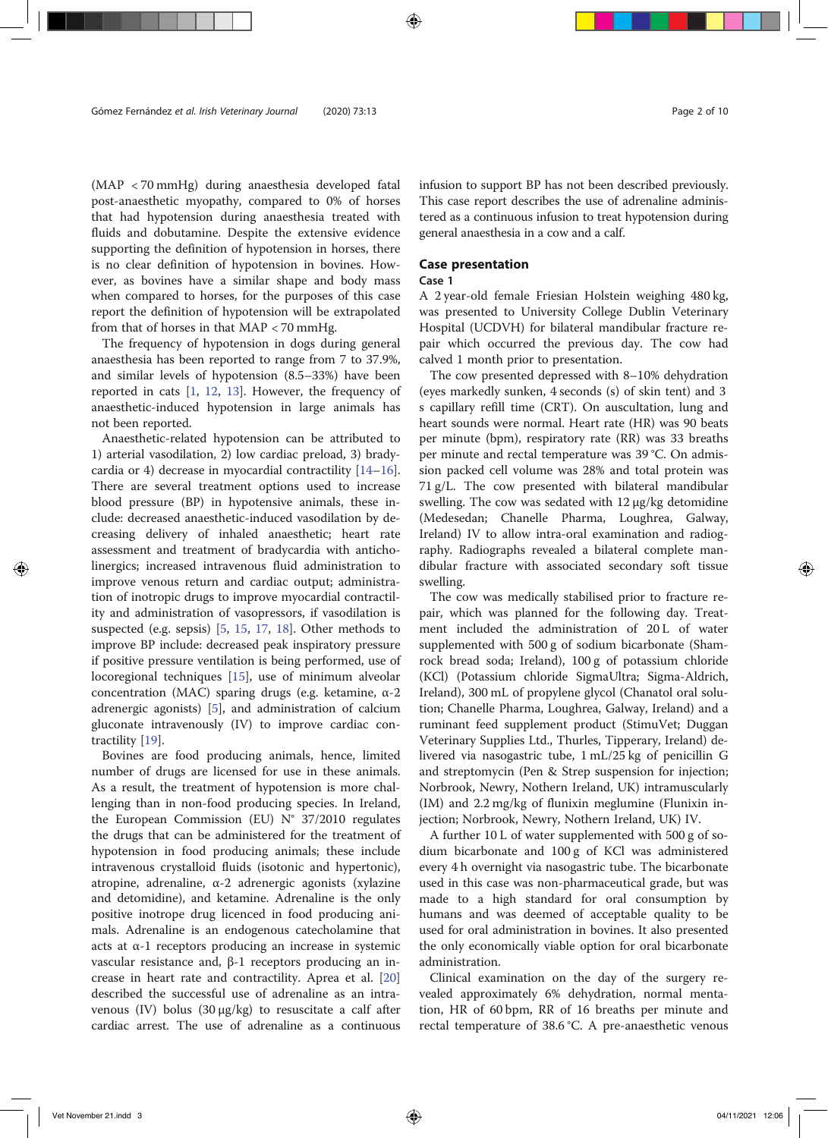(MAP < 70 mmHg) during anaesthesia developed fatal post-anaesthetic myopathy, compared to 0% of horses that had hypotension during anaesthesia treated with fluids and dobutamine. Despite the extensive evidence supporting the definition of hypotension in horses, there is no clear definition of hypotension in bovines. However, as bovines have a similar shape and body mass when compared to horses, for the purposes of this case report the definition of hypotension will be extrapolated from that of horses in that MAP < 70 mmHg.

The frequency of hypotension in dogs during general anaesthesia has been reported to range from 7 to 37.9%, and similar levels of hypotension (8.5–33%) have been reported in cats [1, 12, 13]. However, the frequency of anaesthetic-induced hypotension in large animals has not been reported.

Anaesthetic-related hypotension can be attributed to 1) arterial vasodilation, 2) low cardiac preload, 3) bradycardia or 4) decrease in myocardial contractility [14–16]. There are several treatment options used to increase blood pressure (BP) in hypotensive animals, these include: decreased anaesthetic-induced vasodilation by decreasing delivery of inhaled anaesthetic; heart rate assessment and treatment of bradycardia with anticholinergics; increased intravenous fluid administration to improve venous return and cardiac output; administration of inotropic drugs to improve myocardial contractility and administration of vasopressors, if vasodilation is suspected (e.g. sepsis) [5, 15, 17, 18]. Other methods to improve BP include: decreased peak inspiratory pressure if positive pressure ventilation is being performed, use of locoregional techniques [15], use of minimum alveolar concentration (MAC) sparing drugs (e.g. ketamine,  $\alpha$ -2 adrenergic agonists) [5], and administration of calcium gluconate intravenously (IV) to improve cardiac contractility [19].

Bovines are food producing animals, hence, limited number of drugs are licensed for use in these animals. As a result, the treatment of hypotension is more challenging than in non-food producing species. In Ireland, the European Commission (EU) N° 37/2010 regulates the drugs that can be administered for the treatment of hypotension in food producing animals; these include intravenous crystalloid fluids (isotonic and hypertonic), atropine, adrenaline,  $\alpha$ -2 adrenergic agonists (xylazine and detomidine), and ketamine. Adrenaline is the only positive inotrope drug licenced in food producing animals. Adrenaline is an endogenous catecholamine that acts at  $\alpha$ -1 receptors producing an increase in systemic vascular resistance and, β-1 receptors producing an increase in heart rate and contractility. Aprea et al. [20] described the successful use of adrenaline as an intravenous (IV) bolus (30 μg/kg) to resuscitate a calf after cardiac arrest. The use of adrenaline as a continuous infusion to support BP has not been described previously. This case report describes the use of adrenaline administered as a continuous infusion to treat hypotension during general anaesthesia in a cow and a calf.

#### Case presentation

#### Case 1

A 2 year-old female Friesian Holstein weighing 480 kg, was presented to University College Dublin Veterinary Hospital (UCDVH) for bilateral mandibular fracture repair which occurred the previous day. The cow had calved 1 month prior to presentation.

The cow presented depressed with 8–10% dehydration (eyes markedly sunken, 4 seconds (s) of skin tent) and 3 s capillary refill time (CRT). On auscultation, lung and heart sounds were normal. Heart rate (HR) was 90 beats per minute (bpm), respiratory rate (RR) was 33 breaths per minute and rectal temperature was 39 °C. On admission packed cell volume was 28% and total protein was 71 g/L. The cow presented with bilateral mandibular swelling. The cow was sedated with 12 μg/kg detomidine (Medesedan; Chanelle Pharma, Loughrea, Galway, Ireland) IV to allow intra-oral examination and radiography. Radiographs revealed a bilateral complete mandibular fracture with associated secondary soft tissue swelling.

The cow was medically stabilised prior to fracture repair, which was planned for the following day. Treatment included the administration of 20L of water supplemented with 500 g of sodium bicarbonate (Shamrock bread soda; Ireland), 100 g of potassium chloride (KCl) (Potassium chloride SigmaUltra; Sigma-Aldrich, Ireland), 300 mL of propylene glycol (Chanatol oral solution; Chanelle Pharma, Loughrea, Galway, Ireland) and a ruminant feed supplement product (StimuVet; Duggan Veterinary Supplies Ltd., Thurles, Tipperary, Ireland) delivered via nasogastric tube, 1 mL/25 kg of penicillin G and streptomycin (Pen & Strep suspension for injection; Norbrook, Newry, Nothern Ireland, UK) intramuscularly (IM) and 2.2 mg/kg of flunixin meglumine (Flunixin injection; Norbrook, Newry, Nothern Ireland, UK) IV.

A further 10 L of water supplemented with 500 g of sodium bicarbonate and 100 g of KCl was administered every 4 h overnight via nasogastric tube. The bicarbonate used in this case was non-pharmaceutical grade, but was made to a high standard for oral consumption by humans and was deemed of acceptable quality to be used for oral administration in bovines. It also presented the only economically viable option for oral bicarbonate administration.

Clinical examination on the day of the surgery revealed approximately 6% dehydration, normal mentation, HR of 60 bpm, RR of 16 breaths per minute and rectal temperature of 38.6 °C. A pre-anaesthetic venous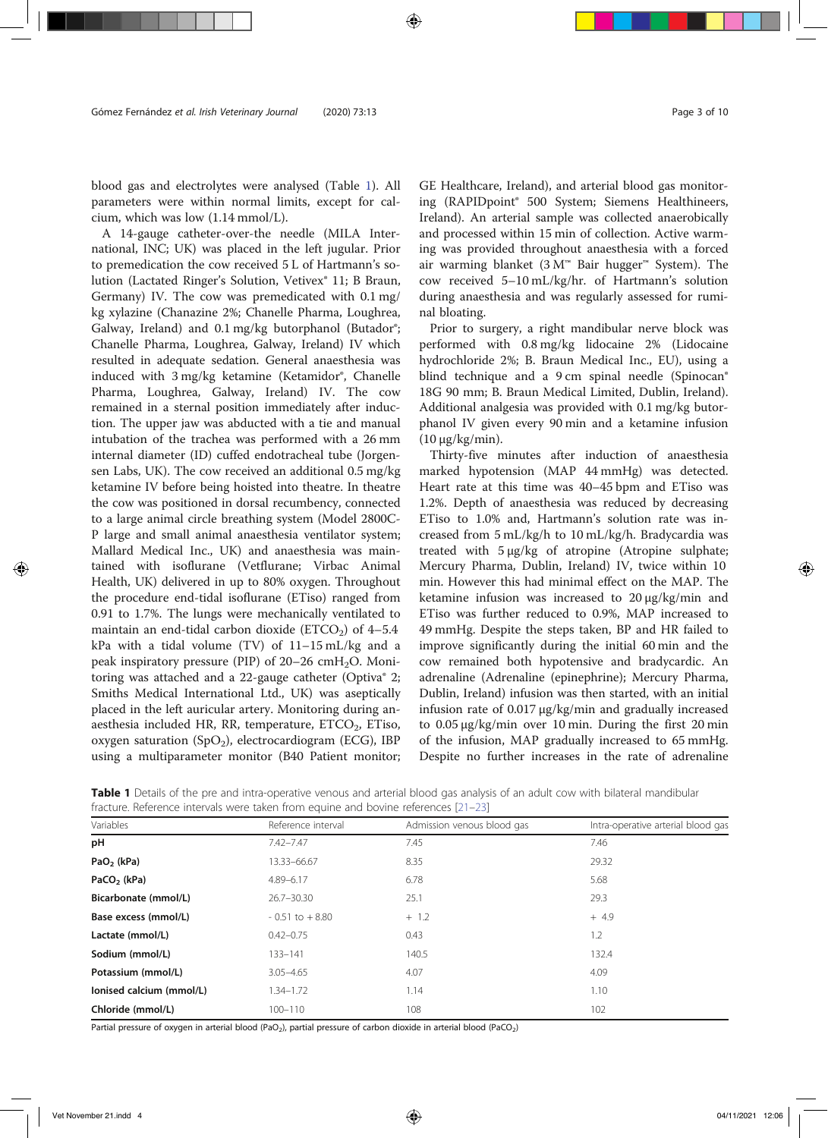blood gas and electrolytes were analysed (Table 1). All parameters were within normal limits, except for calcium, which was low (1.14 mmol/L).

A 14-gauge catheter-over-the needle (MILA International, INC; UK) was placed in the left jugular. Prior to premedication the cow received 5 L of Hartmann's solution (Lactated Ringer's Solution, Vetivex® 11; B Braun, Germany) IV. The cow was premedicated with 0.1 mg/ kg xylazine (Chanazine 2%; Chanelle Pharma, Loughrea, Galway, Ireland) and 0.1 mg/kg butorphanol (Butador®; Chanelle Pharma, Loughrea, Galway, Ireland) IV which resulted in adequate sedation. General anaesthesia was induced with 3 mg/kg ketamine (Ketamidor®, Chanelle Pharma, Loughrea, Galway, Ireland) IV. The cow remained in a sternal position immediately after induction. The upper jaw was abducted with a tie and manual intubation of the trachea was performed with a 26 mm internal diameter (ID) cuffed endotracheal tube (Jorgensen Labs, UK). The cow received an additional 0.5 mg/kg ketamine IV before being hoisted into theatre. In theatre the cow was positioned in dorsal recumbency, connected to a large animal circle breathing system (Model 2800C-P large and small animal anaesthesia ventilator system; Mallard Medical Inc., UK) and anaesthesia was maintained with isoflurane (Vetflurane; Virbac Animal Health, UK) delivered in up to 80% oxygen. Throughout the procedure end-tidal isoflurane (ETiso) ranged from 0.91 to 1.7%. The lungs were mechanically ventilated to maintain an end-tidal carbon dioxide (ETCO<sub>2</sub>) of  $4-5.4$ kPa with a tidal volume (TV) of 11–15 mL/kg and a peak inspiratory pressure (PIP) of  $20-26$  cmH<sub>2</sub>O. Monitoring was attached and a 22-gauge catheter (Optiva® 2; Smiths Medical International Ltd., UK) was aseptically placed in the left auricular artery. Monitoring during anaesthesia included HR, RR, temperature, ETCO<sub>2</sub>, ETiso, oxygen saturation (SpO<sub>2</sub>), electrocardiogram (ECG), IBP using a multiparameter monitor (B40 Patient monitor; GE Healthcare, Ireland), and arterial blood gas monitoring (RAPIDpoint® 500 System; Siemens Healthineers, Ireland). An arterial sample was collected anaerobically and processed within 15 min of collection. Active warming was provided throughout anaesthesia with a forced air warming blanket (3 M™ Bair hugger™ System). The cow received 5–10 mL/kg/hr. of Hartmann's solution during anaesthesia and was regularly assessed for ruminal bloating.

Prior to surgery, a right mandibular nerve block was performed with 0.8 mg/kg lidocaine 2% (Lidocaine hydrochloride 2%; B. Braun Medical Inc., EU), using a blind technique and a 9 cm spinal needle (Spinocan® 18G 90 mm; B. Braun Medical Limited, Dublin, Ireland). Additional analgesia was provided with 0.1 mg/kg butorphanol IV given every 90 min and a ketamine infusion (10 μg/kg/min).

Thirty-five minutes after induction of anaesthesia marked hypotension (MAP 44 mmHg) was detected. Heart rate at this time was 40–45 bpm and ETiso was 1.2%. Depth of anaesthesia was reduced by decreasing ETiso to 1.0% and, Hartmann's solution rate was increased from 5 mL/kg/h to 10 mL/kg/h. Bradycardia was treated with 5 μg/kg of atropine (Atropine sulphate; Mercury Pharma, Dublin, Ireland) IV, twice within 10 min. However this had minimal effect on the MAP. The ketamine infusion was increased to 20 μg/kg/min and ETiso was further reduced to 0.9%, MAP increased to 49 mmHg. Despite the steps taken, BP and HR failed to improve significantly during the initial 60 min and the cow remained both hypotensive and bradycardic. An adrenaline (Adrenaline (epinephrine); Mercury Pharma, Dublin, Ireland) infusion was then started, with an initial infusion rate of 0.017 μg/kg/min and gradually increased to 0.05 μg/kg/min over 10 min. During the first 20 min of the infusion, MAP gradually increased to 65 mmHg. Despite no further increases in the rate of adrenaline

Table 1 Details of the pre and intra-operative venous and arterial blood gas analysis of an adult cow with bilateral mandibular fracture. Reference intervals were taken from equine and bovine references [21–23]

| Variables                | Reference interval | Admission venous blood gas | Intra-operative arterial blood gas |  |
|--------------------------|--------------------|----------------------------|------------------------------------|--|
| рH                       | $7.42 - 7.47$      | 7.45                       | 7.46                               |  |
| $PaO2$ (kPa)             | 13.33-66.67        | 8.35                       | 29.32                              |  |
| PaCO <sub>2</sub> (kPa)  | $4.89 - 6.17$      | 6.78                       | 5.68                               |  |
| Bicarbonate (mmol/L)     | $26.7 - 30.30$     | 25.1                       | 29.3                               |  |
| Base excess (mmol/L)     | $-0.51$ to $+8.80$ | $+ 1.2$                    | $+4.9$                             |  |
| Lactate (mmol/L)         | $0.42 - 0.75$      | 0.43                       | 1.2                                |  |
| Sodium (mmol/L)          | 133-141            | 140.5                      | 132.4                              |  |
| Potassium (mmol/L)       | $3.05 - 4.65$      | 4.07                       | 4.09                               |  |
| lonised calcium (mmol/L) | 1.34–1.72          | 1.14                       | 1.10                               |  |
| Chloride (mmol/L)        | $100 - 110$        | 108                        | 102                                |  |
|                          |                    |                            |                                    |  |

Partial pressure of oxygen in arterial blood (PaO<sub>2</sub>), partial pressure of carbon dioxide in arterial blood (PaCO<sub>2</sub>)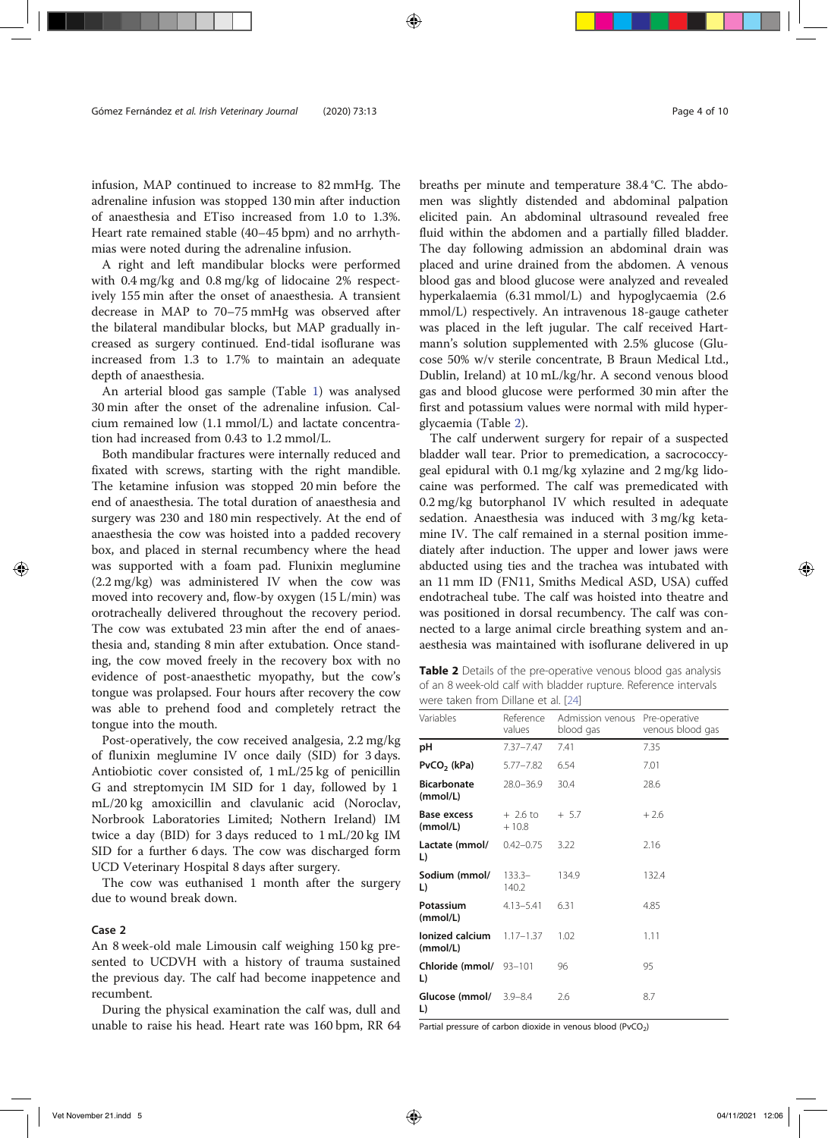infusion, MAP continued to increase to 82 mmHg. The adrenaline infusion was stopped 130 min after induction of anaesthesia and ETiso increased from 1.0 to 1.3%. Heart rate remained stable (40–45 bpm) and no arrhythmias were noted during the adrenaline infusion.

A right and left mandibular blocks were performed with 0.4 mg/kg and 0.8 mg/kg of lidocaine 2% respectively 155 min after the onset of anaesthesia. A transient decrease in MAP to 70–75 mmHg was observed after the bilateral mandibular blocks, but MAP gradually increased as surgery continued. End-tidal isoflurane was increased from 1.3 to 1.7% to maintain an adequate depth of anaesthesia.

An arterial blood gas sample (Table 1) was analysed 30 min after the onset of the adrenaline infusion. Calcium remained low (1.1 mmol/L) and lactate concentration had increased from 0.43 to 1.2 mmol/L.

Both mandibular fractures were internally reduced and fixated with screws, starting with the right mandible. The ketamine infusion was stopped 20 min before the end of anaesthesia. The total duration of anaesthesia and surgery was 230 and 180 min respectively. At the end of anaesthesia the cow was hoisted into a padded recovery box, and placed in sternal recumbency where the head was supported with a foam pad. Flunixin meglumine (2.2 mg/kg) was administered IV when the cow was moved into recovery and, flow-by oxygen (15 L/min) was orotracheally delivered throughout the recovery period. The cow was extubated 23 min after the end of anaesthesia and, standing 8 min after extubation. Once standing, the cow moved freely in the recovery box with no evidence of post-anaesthetic myopathy, but the cow's tongue was prolapsed. Four hours after recovery the cow was able to prehend food and completely retract the tongue into the mouth.

Post-operatively, the cow received analgesia, 2.2 mg/kg of flunixin meglumine IV once daily (SID) for 3 days. Antiobiotic cover consisted of, 1 mL/25 kg of penicillin G and streptomycin IM SID for 1 day, followed by 1 mL/20 kg amoxicillin and clavulanic acid (Noroclav, Norbrook Laboratories Limited; Nothern Ireland) IM twice a day (BID) for 3 days reduced to 1 mL/20 kg IM SID for a further 6 days. The cow was discharged form UCD Veterinary Hospital 8 days after surgery.

The cow was euthanised 1 month after the surgery due to wound break down.

#### Case 2

An 8 week-old male Limousin calf weighing 150 kg presented to UCDVH with a history of trauma sustained the previous day. The calf had become inappetence and recumbent.

During the physical examination the calf was, dull and unable to raise his head. Heart rate was 160 bpm, RR 64 breaths per minute and temperature 38.4 °C. The abdomen was slightly distended and abdominal palpation elicited pain. An abdominal ultrasound revealed free fluid within the abdomen and a partially filled bladder. The day following admission an abdominal drain was placed and urine drained from the abdomen. A venous blood gas and blood glucose were analyzed and revealed hyperkalaemia (6.31 mmol/L) and hypoglycaemia (2.6 mmol/L) respectively. An intravenous 18-gauge catheter was placed in the left jugular. The calf received Hartmann's solution supplemented with 2.5% glucose (Glucose 50% w/v sterile concentrate, B Braun Medical Ltd., Dublin, Ireland) at 10 mL/kg/hr. A second venous blood gas and blood glucose were performed 30 min after the first and potassium values were normal with mild hyperglycaemia (Table 2).

The calf underwent surgery for repair of a suspected bladder wall tear. Prior to premedication, a sacrococcygeal epidural with 0.1 mg/kg xylazine and 2 mg/kg lidocaine was performed. The calf was premedicated with 0.2 mg/kg butorphanol IV which resulted in adequate sedation. Anaesthesia was induced with 3 mg/kg ketamine IV. The calf remained in a sternal position immediately after induction. The upper and lower jaws were abducted using ties and the trachea was intubated with an 11 mm ID (FN11, Smiths Medical ASD, USA) cuffed endotracheal tube. The calf was hoisted into theatre and was positioned in dorsal recumbency. The calf was connected to a large animal circle breathing system and anaesthesia was maintained with isoflurane delivered in up

Table 2 Details of the pre-operative venous blood gas analysis of an 8 week-old calf with bladder rupture. Reference intervals were taken from Dillane et al. [24]

| Variables                      | Reference<br>values  | Admission venous<br>blood gas | Pre-operative<br>venous blood gas |  |
|--------------------------------|----------------------|-------------------------------|-----------------------------------|--|
| рH                             | $7.37 - 7.47$        | 7.41                          | 7.35                              |  |
| $PvCO2$ (kPa)                  | $5.77 - 7.82$        | 6.54                          | 7.01                              |  |
| <b>Bicarbonate</b><br>(mmol/L) | $28.0 - 36.9$        | 30.4                          | 28.6                              |  |
| Base excess<br>(mmol/L)        | $+2.6$ to<br>$+10.8$ | $+ 5.7$                       | $+2.6$                            |  |
| Lactate (mmol/<br>L)           | $0.42 - 0.75$        | 3.22                          | 2.16                              |  |
| Sodium (mmol/<br>L)            | $133.3-$<br>140.2    | 134.9                         | 132.4                             |  |
| Potassium<br>(mmol/L)          | $4.13 - 5.41$        | 6.31                          | 4.85                              |  |
| lonized calcium<br>(mmol/L)    | $1.17 - 1.37$        | 1.02                          | 1.11                              |  |
| Chloride (mmol/ 93-101<br>L)   |                      | 96                            | 95                                |  |
| Glucose (mmol/<br>L)           | $3.9 - 8.4$          | 2.6                           | 8.7                               |  |

Partial pressure of carbon dioxide in venous blood (PvCO<sub>2</sub>)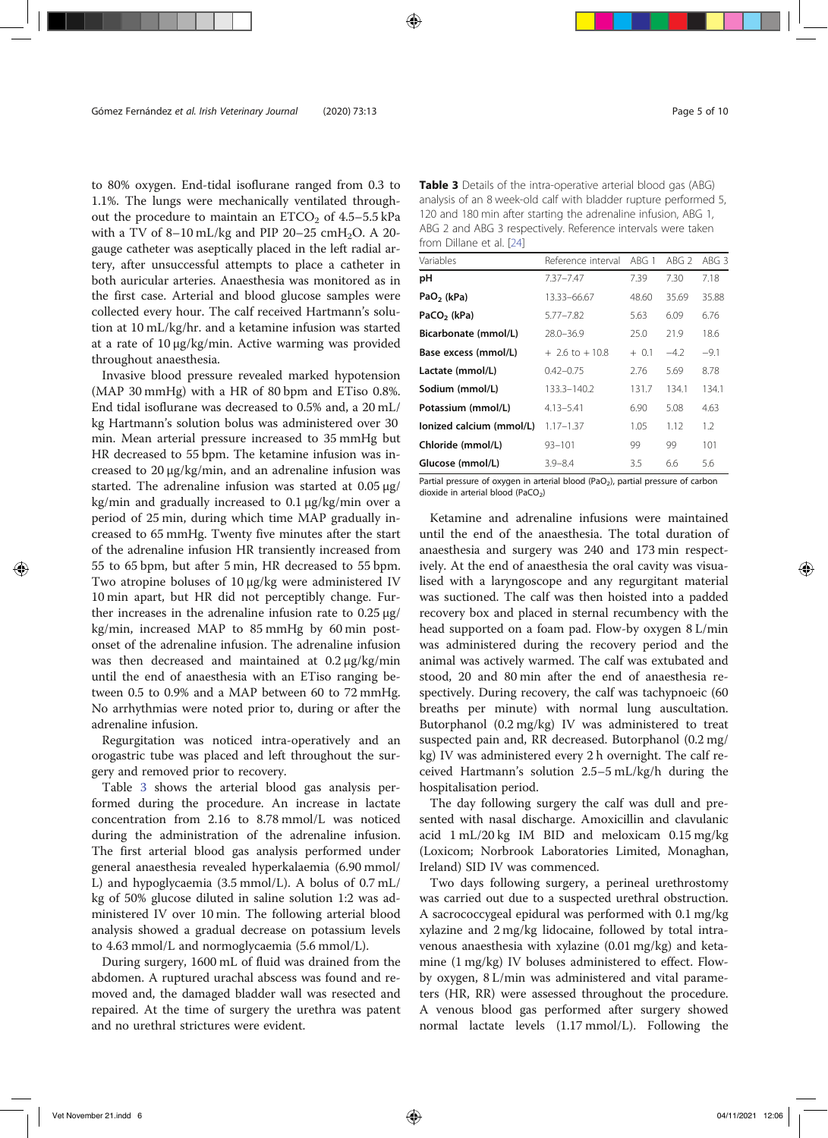to 80% oxygen. End-tidal isoflurane ranged from 0.3 to 1.1%. The lungs were mechanically ventilated throughout the procedure to maintain an  $ETCO<sub>2</sub>$  of 4.5–5.5 kPa with a TV of 8-10 mL/kg and PIP 20-25 cmH<sub>2</sub>O. A 20gauge catheter was aseptically placed in the left radial artery, after unsuccessful attempts to place a catheter in both auricular arteries. Anaesthesia was monitored as in the first case. Arterial and blood glucose samples were collected every hour. The calf received Hartmann's solution at 10 mL/kg/hr. and a ketamine infusion was started at a rate of 10 μg/kg/min. Active warming was provided throughout anaesthesia.

Invasive blood pressure revealed marked hypotension (MAP 30 mmHg) with a HR of 80 bpm and ETiso 0.8%. End tidal isoflurane was decreased to 0.5% and, a 20 mL/ kg Hartmann's solution bolus was administered over 30 min. Mean arterial pressure increased to 35 mmHg but HR decreased to 55 bpm. The ketamine infusion was increased to 20 μg/kg/min, and an adrenaline infusion was started. The adrenaline infusion was started at 0.05 μg/ kg/min and gradually increased to 0.1 μg/kg/min over a period of 25 min, during which time MAP gradually increased to 65 mmHg. Twenty five minutes after the start of the adrenaline infusion HR transiently increased from 55 to 65 bpm, but after 5 min, HR decreased to 55 bpm. Two atropine boluses of 10 μg/kg were administered IV 10 min apart, but HR did not perceptibly change. Further increases in the adrenaline infusion rate to 0.25 μg/ kg/min, increased MAP to 85 mmHg by 60 min postonset of the adrenaline infusion. The adrenaline infusion was then decreased and maintained at 0.2 μg/kg/min until the end of anaesthesia with an ETiso ranging between 0.5 to 0.9% and a MAP between 60 to 72 mmHg. No arrhythmias were noted prior to, during or after the adrenaline infusion.

Regurgitation was noticed intra-operatively and an orogastric tube was placed and left throughout the surgery and removed prior to recovery.

Table 3 shows the arterial blood gas analysis performed during the procedure. An increase in lactate concentration from 2.16 to 8.78 mmol/L was noticed during the administration of the adrenaline infusion. The first arterial blood gas analysis performed under general anaesthesia revealed hyperkalaemia (6.90 mmol/ L) and hypoglycaemia (3.5 mmol/L). A bolus of 0.7 mL/ kg of 50% glucose diluted in saline solution 1:2 was administered IV over 10 min. The following arterial blood analysis showed a gradual decrease on potassium levels to 4.63 mmol/L and normoglycaemia (5.6 mmol/L).

During surgery, 1600 mL of fluid was drained from the abdomen. A ruptured urachal abscess was found and removed and, the damaged bladder wall was resected and repaired. At the time of surgery the urethra was patent and no urethral strictures were evident.

Table 3 Details of the intra-operative arterial blood gas (ABG) analysis of an 8 week-old calf with bladder rupture performed 5, 120 and 180 min after starting the adrenaline infusion, ABG 1, ABG 2 and ABG 3 respectively. Reference intervals were taken from Dillane et al. [24]

| Variables                | Reference interval  | ABG <sub>1</sub> | ABG <sub>2</sub> | ABG3   |
|--------------------------|---------------------|------------------|------------------|--------|
| рH                       | 7.37-7.47           | 7.39             | 7.30             | 7.18   |
| PaO <sub>2</sub> (kPa)   | 13.33-66.67         | 48.60            | 35.69            | 35.88  |
| PaCO <sub>2</sub> (kPa)  | $5.77 - 7.82$       | 5.63             | 6.09             | 6.76   |
| Bicarbonate (mmol/L)     | $28.0 - 36.9$       | 25.0             | 21.9             | 18.6   |
| Base excess (mmol/L)     | $+$ 2.6 to $+$ 10.8 | $+ 0.1$          | $-4.2$           | $-9.1$ |
| Lactate (mmol/L)         | $0.42 - 0.75$       | 2.76             | 5.69             | 8.78   |
| Sodium (mmol/L)          | 133.3-140.2         | 131.7            | 134.1            | 134.1  |
| Potassium (mmol/L)       | $4.13 - 5.41$       | 6.90             | 5.08             | 4.63   |
| Ionized calcium (mmol/L) | $1.17 - 1.37$       | 1.05             | 1.12             | 1.2    |
| Chloride (mmol/L)        | $93 - 101$          | 99               | 99               | 101    |
| Glucose (mmol/L)         | $3.9 - 8.4$         | 3.5              | 6.6              | 5.6    |

Partial pressure of oxygen in arterial blood (PaO<sub>2</sub>), partial pressure of carbon dioxide in arterial blood (PaCO<sub>2</sub>)

Ketamine and adrenaline infusions were maintained until the end of the anaesthesia. The total duration of anaesthesia and surgery was 240 and 173 min respectively. At the end of anaesthesia the oral cavity was visualised with a laryngoscope and any regurgitant material was suctioned. The calf was then hoisted into a padded recovery box and placed in sternal recumbency with the head supported on a foam pad. Flow-by oxygen 8 L/min was administered during the recovery period and the animal was actively warmed. The calf was extubated and stood, 20 and 80 min after the end of anaesthesia respectively. During recovery, the calf was tachypnoeic (60 breaths per minute) with normal lung auscultation. Butorphanol (0.2 mg/kg) IV was administered to treat suspected pain and, RR decreased. Butorphanol (0.2 mg/ kg) IV was administered every 2 h overnight. The calf received Hartmann's solution 2.5–5 mL/kg/h during the hospitalisation period.

The day following surgery the calf was dull and presented with nasal discharge. Amoxicillin and clavulanic acid 1 mL/20 kg IM BID and meloxicam 0.15 mg/kg (Loxicom; Norbrook Laboratories Limited, Monaghan, Ireland) SID IV was commenced.

Two days following surgery, a perineal urethrostomy was carried out due to a suspected urethral obstruction. A sacrococcygeal epidural was performed with 0.1 mg/kg xylazine and 2 mg/kg lidocaine, followed by total intravenous anaesthesia with xylazine (0.01 mg/kg) and ketamine (1 mg/kg) IV boluses administered to effect. Flowby oxygen, 8 L/min was administered and vital parameters (HR, RR) were assessed throughout the procedure. A venous blood gas performed after surgery showed normal lactate levels (1.17 mmol/L). Following the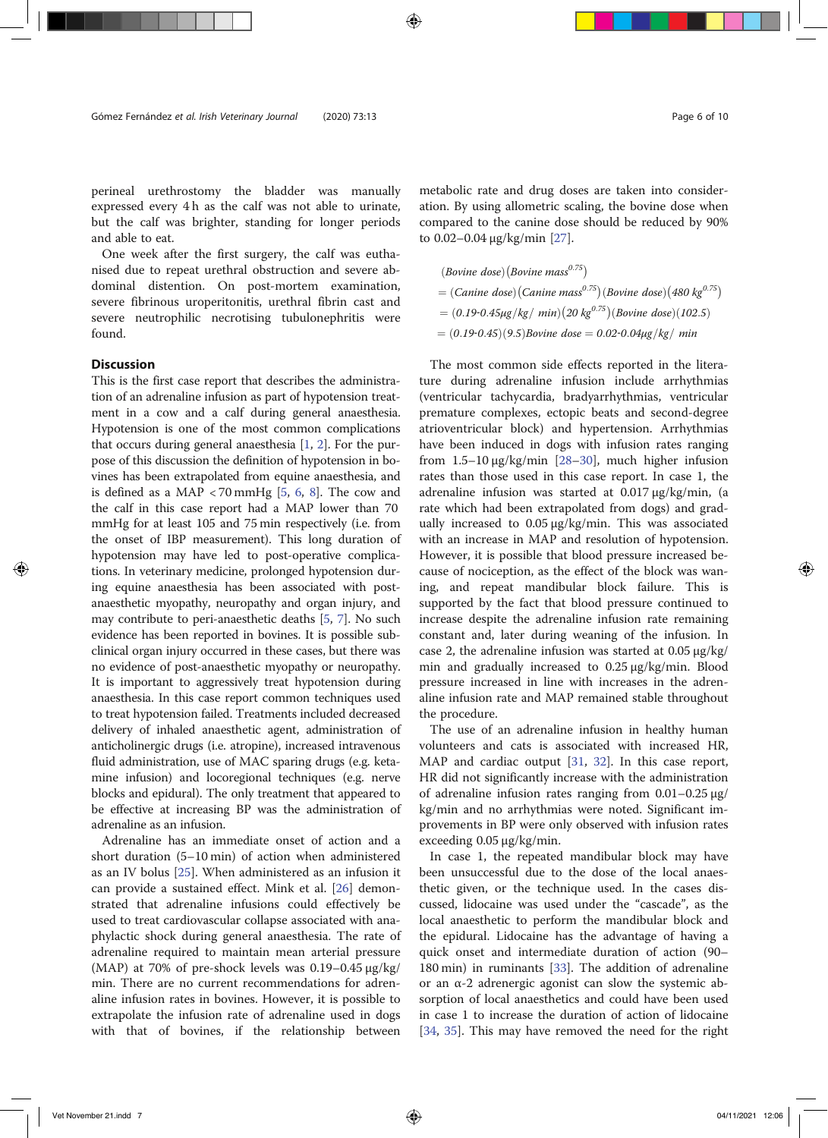perineal urethrostomy the bladder was manually expressed every 4 h as the calf was not able to urinate, but the calf was brighter, standing for longer periods and able to eat.

One week after the first surgery, the calf was euthanised due to repeat urethral obstruction and severe abdominal distention. On post-mortem examination, severe fibrinous uroperitonitis, urethral fibrin cast and severe neutrophilic necrotising tubulonephritis were found.

#### **Discussion**

This is the first case report that describes the administration of an adrenaline infusion as part of hypotension treatment in a cow and a calf during general anaesthesia. Hypotension is one of the most common complications that occurs during general anaesthesia [1, 2]. For the purpose of this discussion the definition of hypotension in bovines has been extrapolated from equine anaesthesia, and is defined as a MAP  $\lt$  70 mmHg [5, 6, 8]. The cow and the calf in this case report had a MAP lower than 70 mmHg for at least 105 and 75 min respectively (i.e. from the onset of IBP measurement). This long duration of hypotension may have led to post-operative complications. In veterinary medicine, prolonged hypotension during equine anaesthesia has been associated with postanaesthetic myopathy, neuropathy and organ injury, and may contribute to peri-anaesthetic deaths [5, 7]. No such evidence has been reported in bovines. It is possible subclinical organ injury occurred in these cases, but there was no evidence of post-anaesthetic myopathy or neuropathy. It is important to aggressively treat hypotension during anaesthesia. In this case report common techniques used to treat hypotension failed. Treatments included decreased delivery of inhaled anaesthetic agent, administration of anticholinergic drugs (i.e. atropine), increased intravenous fluid administration, use of MAC sparing drugs (e.g. ketamine infusion) and locoregional techniques (e.g. nerve blocks and epidural). The only treatment that appeared to be effective at increasing BP was the administration of adrenaline as an infusion.

Adrenaline has an immediate onset of action and a short duration (5–10 min) of action when administered as an IV bolus [25]. When administered as an infusion it can provide a sustained effect. Mink et al. [26] demonstrated that adrenaline infusions could effectively be used to treat cardiovascular collapse associated with anaphylactic shock during general anaesthesia. The rate of adrenaline required to maintain mean arterial pressure (MAP) at 70% of pre-shock levels was 0.19–0.45 μg/kg/ min. There are no current recommendations for adrenaline infusion rates in bovines. However, it is possible to extrapolate the infusion rate of adrenaline used in dogs with that of bovines, if the relationship between metabolic rate and drug doses are taken into consideration. By using allometric scaling, the bovine dose when compared to the canine dose should be reduced by 90% to 0.02–0.04 μg/kg/min [27].

(*Bovine dose*) (*Bovine mass<sup>0.75</sup>*)  
= (*Canine dose*) (*Canine mass<sup>0.75</sup>*) (*Bovine dose*) (480 kg<sup>0.75</sup>)  
= (0.19-0.45
$$
\mu
$$
g/kg/*min*)(20 kg<sup>0.75</sup>)(*Bovine dose*)(102.5)  
= (0.19-0.45)(9.5)*Bovine dose* = 0.02-0.04 $\mu$ g/kg/*min*

The most common side effects reported in the literature during adrenaline infusion include arrhythmias (ventricular tachycardia, bradyarrhythmias, ventricular premature complexes, ectopic beats and second-degree atrioventricular block) and hypertension. Arrhythmias have been induced in dogs with infusion rates ranging from  $1.5-10 \mu g/kg/min$  [28-30], much higher infusion rates than those used in this case report. In case 1, the adrenaline infusion was started at 0.017 μg/kg/min, (a rate which had been extrapolated from dogs) and gradually increased to 0.05 μg/kg/min. This was associated with an increase in MAP and resolution of hypotension. However, it is possible that blood pressure increased because of nociception, as the effect of the block was waning, and repeat mandibular block failure. This is supported by the fact that blood pressure continued to increase despite the adrenaline infusion rate remaining constant and, later during weaning of the infusion. In case 2, the adrenaline infusion was started at  $0.05 \mu g/kg$ min and gradually increased to 0.25 μg/kg/min. Blood pressure increased in line with increases in the adrenaline infusion rate and MAP remained stable throughout the procedure.

The use of an adrenaline infusion in healthy human volunteers and cats is associated with increased HR, MAP and cardiac output [31, 32]. In this case report, HR did not significantly increase with the administration of adrenaline infusion rates ranging from 0.01–0.25 μg/ kg/min and no arrhythmias were noted. Significant improvements in BP were only observed with infusion rates exceeding 0.05 μg/kg/min.

In case 1, the repeated mandibular block may have been unsuccessful due to the dose of the local anaesthetic given, or the technique used. In the cases discussed, lidocaine was used under the "cascade", as the local anaesthetic to perform the mandibular block and the epidural. Lidocaine has the advantage of having a quick onset and intermediate duration of action (90– 180 min) in ruminants [33]. The addition of adrenaline or an α-2 adrenergic agonist can slow the systemic absorption of local anaesthetics and could have been used in case 1 to increase the duration of action of lidocaine [34, 35]. This may have removed the need for the right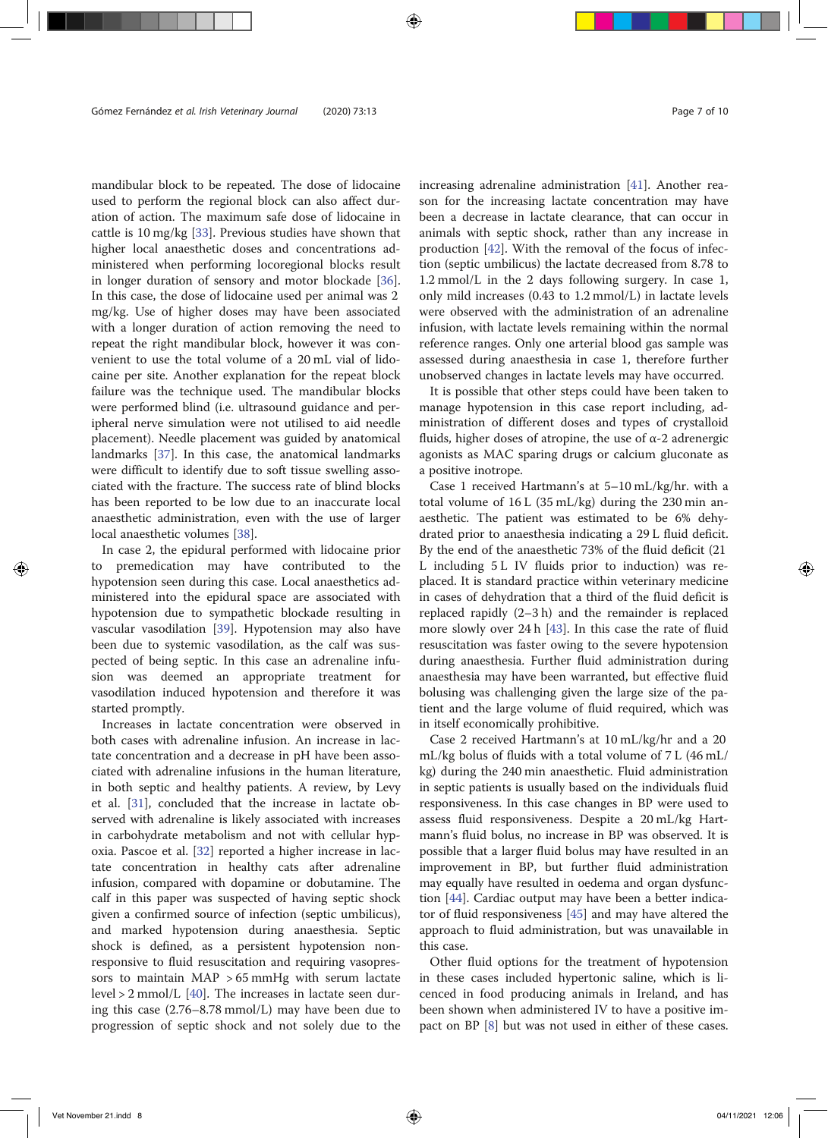mandibular block to be repeated. The dose of lidocaine used to perform the regional block can also affect duration of action. The maximum safe dose of lidocaine in cattle is 10 mg/kg [33]. Previous studies have shown that higher local anaesthetic doses and concentrations administered when performing locoregional blocks result in longer duration of sensory and motor blockade [36]. In this case, the dose of lidocaine used per animal was 2 mg/kg. Use of higher doses may have been associated with a longer duration of action removing the need to repeat the right mandibular block, however it was convenient to use the total volume of a 20 mL vial of lidocaine per site. Another explanation for the repeat block failure was the technique used. The mandibular blocks were performed blind (i.e. ultrasound guidance and peripheral nerve simulation were not utilised to aid needle placement). Needle placement was guided by anatomical landmarks [37]. In this case, the anatomical landmarks were difficult to identify due to soft tissue swelling associated with the fracture. The success rate of blind blocks has been reported to be low due to an inaccurate local anaesthetic administration, even with the use of larger local anaesthetic volumes [38].

In case 2, the epidural performed with lidocaine prior to premedication may have contributed to the hypotension seen during this case. Local anaesthetics administered into the epidural space are associated with hypotension due to sympathetic blockade resulting in vascular vasodilation [39]. Hypotension may also have been due to systemic vasodilation, as the calf was suspected of being septic. In this case an adrenaline infusion was deemed an appropriate treatment for vasodilation induced hypotension and therefore it was started promptly.

Increases in lactate concentration were observed in both cases with adrenaline infusion. An increase in lactate concentration and a decrease in pH have been associated with adrenaline infusions in the human literature, in both septic and healthy patients. A review, by Levy et al. [31], concluded that the increase in lactate observed with adrenaline is likely associated with increases in carbohydrate metabolism and not with cellular hypoxia. Pascoe et al. [32] reported a higher increase in lactate concentration in healthy cats after adrenaline infusion, compared with dopamine or dobutamine. The calf in this paper was suspected of having septic shock given a confirmed source of infection (septic umbilicus), and marked hypotension during anaesthesia. Septic shock is defined, as a persistent hypotension nonresponsive to fluid resuscitation and requiring vasopressors to maintain MAP > 65 mmHg with serum lactate level > 2 mmol/L [40]. The increases in lactate seen during this case (2.76–8.78 mmol/L) may have been due to progression of septic shock and not solely due to the increasing adrenaline administration [41]. Another reason for the increasing lactate concentration may have been a decrease in lactate clearance, that can occur in animals with septic shock, rather than any increase in production [42]. With the removal of the focus of infection (septic umbilicus) the lactate decreased from 8.78 to 1.2 mmol/L in the 2 days following surgery. In case 1, only mild increases (0.43 to 1.2 mmol/L) in lactate levels were observed with the administration of an adrenaline infusion, with lactate levels remaining within the normal reference ranges. Only one arterial blood gas sample was assessed during anaesthesia in case 1, therefore further unobserved changes in lactate levels may have occurred.

It is possible that other steps could have been taken to manage hypotension in this case report including, administration of different doses and types of crystalloid fluids, higher doses of atropine, the use of  $\alpha$ -2 adrenergic agonists as MAC sparing drugs or calcium gluconate as a positive inotrope.

Case 1 received Hartmann's at 5–10 mL/kg/hr. with a total volume of 16 L (35 mL/kg) during the 230 min anaesthetic. The patient was estimated to be 6% dehydrated prior to anaesthesia indicating a 29 L fluid deficit. By the end of the anaesthetic 73% of the fluid deficit (21 L including 5 L IV fluids prior to induction) was replaced. It is standard practice within veterinary medicine in cases of dehydration that a third of the fluid deficit is replaced rapidly (2–3 h) and the remainder is replaced more slowly over 24 h [43]. In this case the rate of fluid resuscitation was faster owing to the severe hypotension during anaesthesia. Further fluid administration during anaesthesia may have been warranted, but effective fluid bolusing was challenging given the large size of the patient and the large volume of fluid required, which was in itself economically prohibitive.

Case 2 received Hartmann's at 10 mL/kg/hr and a 20 mL/kg bolus of fluids with a total volume of 7 L (46 mL/ kg) during the 240 min anaesthetic. Fluid administration in septic patients is usually based on the individuals fluid responsiveness. In this case changes in BP were used to assess fluid responsiveness. Despite a 20 mL/kg Hartmann's fluid bolus, no increase in BP was observed. It is possible that a larger fluid bolus may have resulted in an improvement in BP, but further fluid administration may equally have resulted in oedema and organ dysfunction [44]. Cardiac output may have been a better indicator of fluid responsiveness [45] and may have altered the approach to fluid administration, but was unavailable in this case.

Other fluid options for the treatment of hypotension in these cases included hypertonic saline, which is licenced in food producing animals in Ireland, and has been shown when administered IV to have a positive impact on BP [8] but was not used in either of these cases.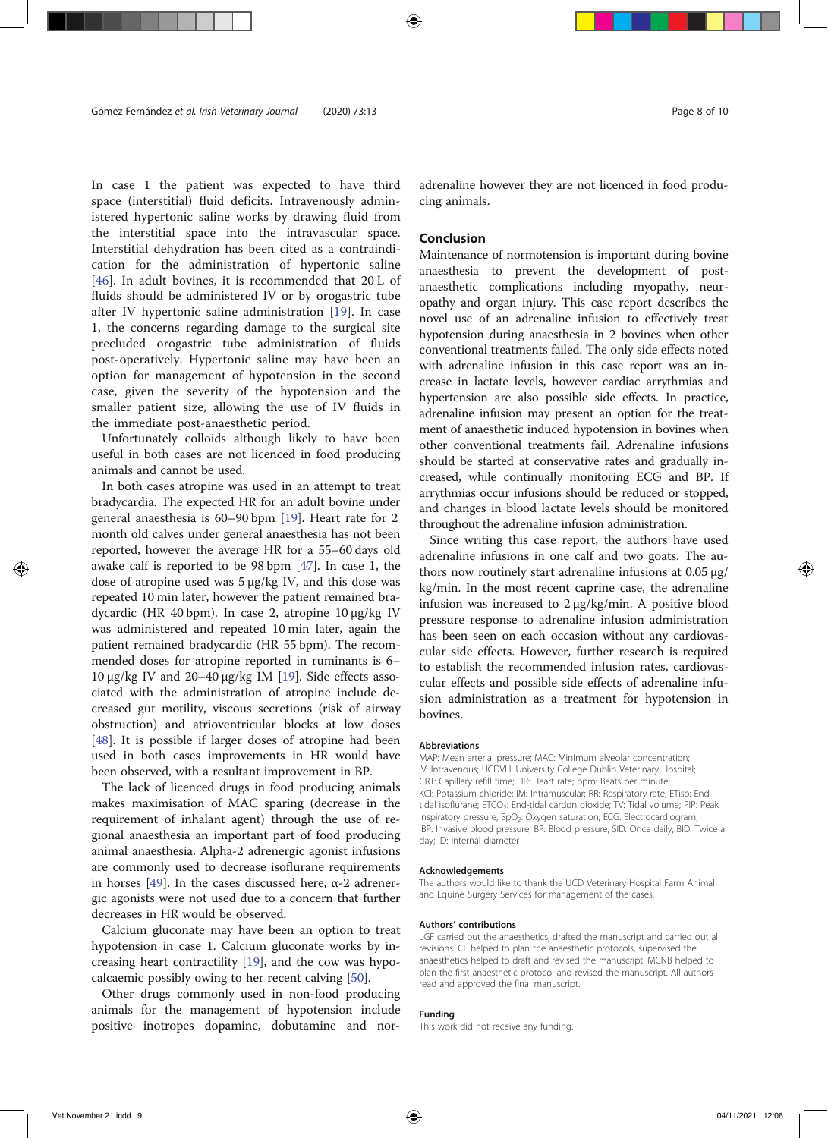In case 1 the patient was expected to have third space (interstitial) fluid deficits. Intravenously administered hypertonic saline works by drawing fluid from the interstitial space into the intravascular space. Interstitial dehydration has been cited as a contraindication for the administration of hypertonic saline [46]. In adult bovines, it is recommended that 20 L of fluids should be administered IV or by orogastric tube after IV hypertonic saline administration [19]. In case 1, the concerns regarding damage to the surgical site precluded orogastric tube administration of fluids post-operatively. Hypertonic saline may have been an option for management of hypotension in the second case, given the severity of the hypotension and the smaller patient size, allowing the use of IV fluids in the immediate post-anaesthetic period.

Unfortunately colloids although likely to have been useful in both cases are not licenced in food producing animals and cannot be used.

In both cases atropine was used in an attempt to treat bradycardia. The expected HR for an adult bovine under general anaesthesia is 60–90 bpm [19]. Heart rate for 2 month old calves under general anaesthesia has not been reported, however the average HR for a 55–60 days old awake calf is reported to be 98 bpm [47]. In case 1, the dose of atropine used was 5 μg/kg IV, and this dose was repeated 10 min later, however the patient remained bradycardic (HR 40 bpm). In case 2, atropine 10 μg/kg IV was administered and repeated 10 min later, again the patient remained bradycardic (HR 55 bpm). The recommended doses for atropine reported in ruminants is 6– 10 μg/kg IV and 20–40 μg/kg IM [19]. Side effects associated with the administration of atropine include decreased gut motility, viscous secretions (risk of airway obstruction) and atrioventricular blocks at low doses [48]. It is possible if larger doses of atropine had been used in both cases improvements in HR would have been observed, with a resultant improvement in BP.

The lack of licenced drugs in food producing animals makes maximisation of MAC sparing (decrease in the requirement of inhalant agent) through the use of regional anaesthesia an important part of food producing animal anaesthesia. Alpha-2 adrenergic agonist infusions are commonly used to decrease isoflurane requirements in horses [49]. In the cases discussed here, α-2 adrenergic agonists were not used due to a concern that further decreases in HR would be observed.

Calcium gluconate may have been an option to treat hypotension in case 1. Calcium gluconate works by increasing heart contractility [19], and the cow was hypocalcaemic possibly owing to her recent calving [50].

Other drugs commonly used in non-food producing animals for the management of hypotension include positive inotropes dopamine, dobutamine and noradrenaline however they are not licenced in food producing animals.

#### Conclusion

Maintenance of normotension is important during bovine anaesthesia to prevent the development of postanaesthetic complications including myopathy, neuropathy and organ injury. This case report describes the novel use of an adrenaline infusion to effectively treat hypotension during anaesthesia in 2 bovines when other conventional treatments failed. The only side effects noted with adrenaline infusion in this case report was an increase in lactate levels, however cardiac arrythmias and hypertension are also possible side effects. In practice, adrenaline infusion may present an option for the treatment of anaesthetic induced hypotension in bovines when other conventional treatments fail. Adrenaline infusions should be started at conservative rates and gradually increased, while continually monitoring ECG and BP. If arrythmias occur infusions should be reduced or stopped, and changes in blood lactate levels should be monitored throughout the adrenaline infusion administration.

Since writing this case report, the authors have used adrenaline infusions in one calf and two goats. The authors now routinely start adrenaline infusions at 0.05 μg/ kg/min. In the most recent caprine case, the adrenaline infusion was increased to 2 μg/kg/min. A positive blood pressure response to adrenaline infusion administration has been seen on each occasion without any cardiovascular side effects. However, further research is required to establish the recommended infusion rates, cardiovascular effects and possible side effects of adrenaline infusion administration as a treatment for hypotension in bovines.

#### Abbreviations

MAP: Mean arterial pressure; MAC: Minimum alveolar concentration; IV: Intravenous; UCDVH: University College Dublin Veterinary Hospital; CRT: Capillary refill time; HR: Heart rate; bpm: Beats per minute; KCl: Potassium chloride; IM: Intramuscular; RR: Respiratory rate; ETiso: Endtidal isoflurane; ETCO<sub>2</sub>: End-tidal cardon dioxide; TV: Tidal volume; PIP: Peak inspiratory pressure; SpO<sub>2</sub>: Oxygen saturation; ECG: Electrocardiogram; IBP: Invasive blood pressure; BP: Blood pressure; SID: Once daily; BID: Twice a day; ID: Internal diameter

#### Acknowledgements

The authors would like to thank the UCD Veterinary Hospital Farm Animal and Equine Surgery Services for management of the cases.

#### Authors' contributions

LGF carried out the anaesthetics, drafted the manuscript and carried out all revisions. CL helped to plan the anaesthetic protocols, supervised the anaesthetics helped to draft and revised the manuscript. MCNB helped to plan the first anaesthetic protocol and revised the manuscript. All authors read and approved the final manuscript.

#### Funding

This work did not receive any funding.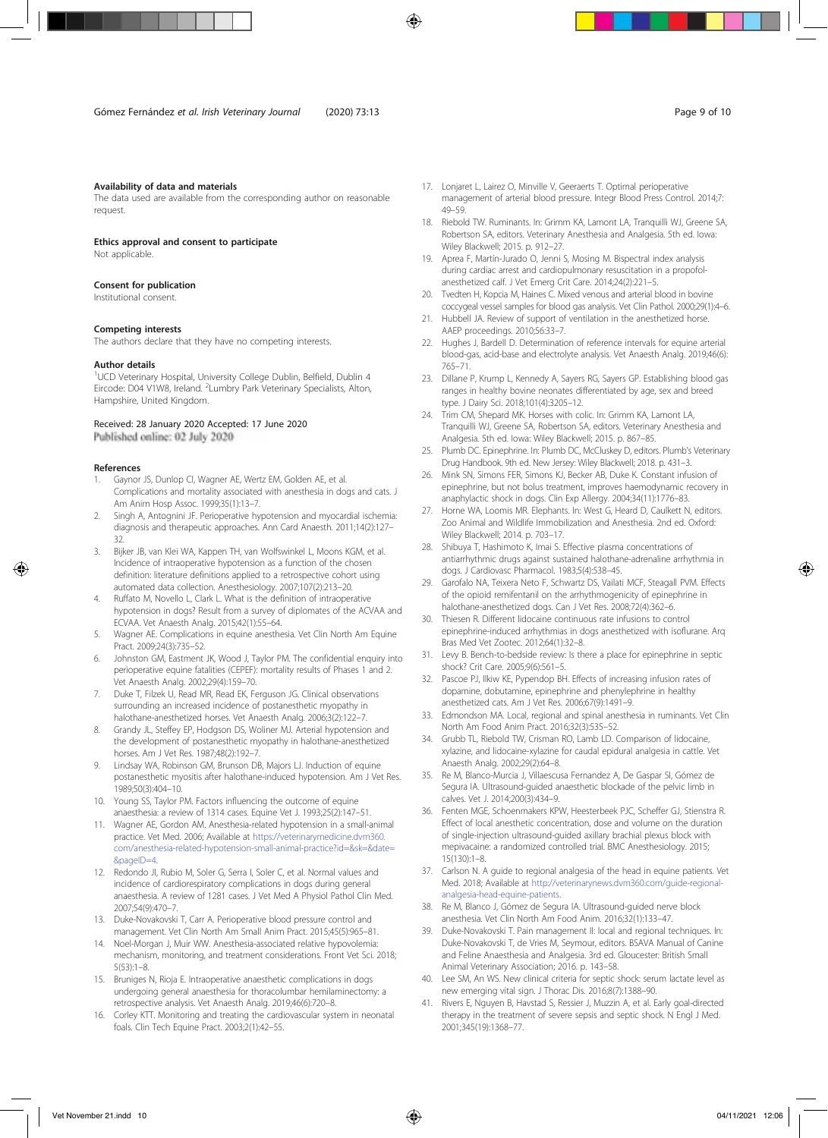#### Availability of data and materials

The data used are available from the corresponding author on reasonable request.

Ethics approval and consent to participate

Not applicable.

#### Consent for publication

Institutional consent.

#### Competing interests

The authors declare that they have no competing interests.

#### Author details

<sup>1</sup>UCD Veterinary Hospital, University College Dublin, Belfield, Dublin 4 Eircode: D04 V1W8, Ireland. <sup>2</sup> Lumbry Park Veterinary Specialists, Alton, Hampshire, United Kingdom.

## Received: 28 January 2020 Accepted: 17 June 2020

#### References

- 1. Gaynor JS, Dunlop CI, Wagner AE, Wertz EM, Golden AE, et al. Complications and mortality associated with anesthesia in dogs and cats. J Am Anim Hosp Assoc. 1999;35(1):13–7.
- 2. Singh A, Antognini JF. Perioperative hypotension and myocardial ischemia: diagnosis and therapeutic approaches. Ann Card Anaesth. 2011;14(2):127– 32.
- 3. Bijker JB, van Klei WA, Kappen TH, van Wolfswinkel L, Moons KGM, et al. Incidence of intraoperative hypotension as a function of the chosen definition: literature definitions applied to a retrospective cohort using automated data collection. Anesthesiology. 2007;107(2):213–20.
- 4. Ruffato M, Novello L, Clark L. What is the definition of intraoperative hypotension in dogs? Result from a survey of diplomates of the ACVAA and ECVAA. Vet Anaesth Analg. 2015;42(1):55–64.
- 5. Wagner AE. Complications in equine anesthesia. Vet Clin North Am Equine Pract. 2009;24(3):735–52.
- 6. Johnston GM, Eastment JK, Wood J, Taylor PM. The confidential enquiry into perioperative equine fatalities (CEPEF): mortality results of Phases 1 and 2. Vet Anaesth Analg. 2002;29(4):159–70.
- 7. Duke T, Filzek U, Read MR, Read EK, Ferguson JG. Clinical observations surrounding an increased incidence of postanesthetic myopathy in halothane-anesthetized horses. Vet Anaesth Analg. 2006;3(2):122–7.
- 8. Grandy JL, Steffey EP, Hodgson DS, Woliner MJ. Arterial hypotension and the development of postanesthetic myopathy in halothane-anesthetized horses. Am J Vet Res. 1987;48(2):192–7.
- 9. Lindsay WA, Robinson GM, Brunson DB, Majors LJ. Induction of equine postanesthetic myositis after halothane-induced hypotension. Am J Vet Res. 1989;50(3):404–10.
- 10. Young SS, Taylor PM. Factors influencing the outcome of equine anaesthesia: a review of 1314 cases. Equine Vet J. 1993;25(2):147–51.
- Wagner AE, Gordon AM. Anesthesia-related hypotension in a small-animal practice. Vet Med. 2006; Available at https://veterinarymedicine.dvm360. com/anesthesia-related-hypotension-small-animal-practice?id=&sk=&date= &pageID=4.
- 12. Redondo JI, Rubio M, Soler G, Serra I, Soler C, et al. Normal values and incidence of cardiorespiratory complications in dogs during general anaesthesia. A review of 1281 cases. J Vet Med A Physiol Pathol Clin Med. 2007;54(9):470–7.
- 13. Duke-Novakovski T, Carr A. Perioperative blood pressure control and management. Vet Clin North Am Small Anim Pract. 2015;45(5):965–81.
- 14. Noel-Morgan J, Muir WW. Anesthesia-associated relative hypovolemia: mechanism, monitoring, and treatment considerations. Front Vet Sci. 2018;  $5(53):1-8$
- 15. Bruniges N, Rioja E. Intraoperative anaesthetic complications in dogs undergoing general anaesthesia for thoracolumbar hemilaminectomy: a retrospective analysis. Vet Anaesth Analg. 2019;46(6):720–8.
- 16. Corley KTT. Monitoring and treating the cardiovascular system in neonatal foals. Clin Tech Equine Pract. 2003;2(1):42–55.
- 17. Lonjaret L, Lairez O, Minville V, Geeraerts T. Optimal perioperative management of arterial blood pressure. Integr Blood Press Control. 2014;7: 49–59.
- 18. Riebold TW. Ruminants. In: Grimm KA, Lamont LA, Tranquilli WJ, Greene SA, Robertson SA, editors. Veterinary Anesthesia and Analgesia. 5th ed. Iowa: Wiley Blackwell; 2015. p. 912–27.
- 19. Aprea F, Martín-Jurado O, Jenni S, Mosing M. Bispectral index analysis during cardiac arrest and cardiopulmonary resuscitation in a propofolanesthetized calf. J Vet Emerg Crit Care. 2014;24(2):221–5.
- 20. Tvedten H, Kopcia M, Haines C. Mixed venous and arterial blood in bovine coccygeal vessel samples for blood gas analysis. Vet Clin Pathol. 2000;29(1):4–6.
- 21. Hubbell JA. Review of support of ventilation in the anesthetized horse. AAEP proceedings. 2010;56:33–7.
- 22. Hughes J, Bardell D. Determination of reference intervals for equine arterial blood-gas, acid-base and electrolyte analysis. Vet Anaesth Analg. 2019;46(6): 765–71.
- 23. Dillane P, Krump L, Kennedy A, Sayers RG, Sayers GP. Establishing blood gas ranges in healthy bovine neonates differentiated by age, sex and breed type. J Dairy Sci. 2018;101(4):3205–12.
- 24. Trim CM, Shepard MK. Horses with colic. In: Grimm KA, Lamont LA, Tranquilli WJ, Greene SA, Robertson SA, editors. Veterinary Anesthesia and Analgesia. 5th ed. Iowa: Wiley Blackwell; 2015. p. 867–85.
- 25. Plumb DC. Epinephrine. In: Plumb DC, McCluskey D, editors. Plumb's Veterinary Drug Handbook. 9th ed. New Jersey: Wiley Blackwell; 2018. p. 431–3.
- 26. Mink SN, Simons FER, Simons KJ, Becker AB, Duke K. Constant infusion of epinephrine, but not bolus treatment, improves haemodynamic recovery in anaphylactic shock in dogs. Clin Exp Allergy. 2004;34(11):1776–83.
- 27. Horne WA, Loomis MR. Elephants. In: West G, Heard D, Caulkett N, editors. Zoo Animal and Wildlife Immobilization and Anesthesia. 2nd ed. Oxford: Wiley Blackwell; 2014. p. 703–17.
- 28. Shibuya T, Hashimoto K, Imai S. Effective plasma concentrations of antiarrhythmic drugs against sustained halothane-adrenaline arrhythmia in dogs. J Cardiovasc Pharmacol. 1983;5(4):538–45.
- 29. Garofalo NA, Teixera Neto F, Schwartz DS, Vailati MCF, Steagall PVM. Effects of the opioid remifentanil on the arrhythmogenicity of epinephrine in halothane-anesthetized dogs. Can J Vet Res. 2008;72(4):362–6.
- 30. Thiesen R. Different lidocaine continuous rate infusions to control epinephrine-induced arrhythmias in dogs anesthetized with isoflurane. Arq Bras Med Vet Zootec. 2012;64(1):32–8.
- 31. Levy B. Bench-to-bedside review: Is there a place for epinephrine in septic shock? Crit Care. 2005;9(6):561–5.
- 32. Pascoe PJ, Ilkiw KE, Pypendop BH. Effects of increasing infusion rates of dopamine, dobutamine, epinephrine and phenylephrine in healthy anesthetized cats. Am J Vet Res. 2006;67(9):1491–9.
- 33. Edmondson MA. Local, regional and spinal anesthesia in ruminants. Vet Clin North Am Food Anim Pract. 2016;32(3):535–52.
- 34. Grubb TL, Riebold TW, Crisman RO, Lamb LD. Comparison of lidocaine, xylazine, and lidocaine-xylazine for caudal epidural analgesia in cattle. Vet Anaesth Analg. 2002;29(2):64–8.
- 35. Re M, Blanco-Murcia J, Villaescusa Fernandez A, De Gaspar SI, Gómez de Segura IA. Ultrasound-guided anaesthetic blockade of the pelvic limb in calves. Vet J. 2014;200(3):434–9.
- 36. Fenten MGE, Schoenmakers KPW, Heesterbeek PJC, Scheffer GJ, Stienstra R. Effect of local anesthetic concentration, dose and volume on the duration of single-injection ultrasound-guided axillary brachial plexus block with mepivacaine: a randomized controlled trial. BMC Anesthesiology. 2015; 15(130):1–8.
- 37. Carlson N. A guide to regional analgesia of the head in equine patients. Vet Med. 2018; Available at http://veterinarynews.dvm360.com/guide-regionalanalgesia-head-equine-patients.
- 38. Re M, Blanco J, Gómez de Segura IA. Ultrasound-guided nerve block anesthesia. Vet Clin North Am Food Anim. 2016;32(1):133–47.
- 39. Duke-Novakovski T. Pain management II: local and regional techniques. In: Duke-Novakovski T, de Vries M, Seymour, editors. BSAVA Manual of Canine and Feline Anaesthesia and Analgesia. 3rd ed. Gloucester: British Small Animal Veterinary Association; 2016. p. 143–58.
- 40. Lee SM, An WS. New clinical criteria for septic shock: serum lactate level as new emerging vital sign. J Thorac Dis. 2016;8(7):1388–90.
- 41. Rivers E, Nguyen B, Havstad S, Ressier J, Muzzin A, et al. Early goal-directed therapy in the treatment of severe sepsis and septic shock. N Engl J Med. 2001;345(19):1368–77.